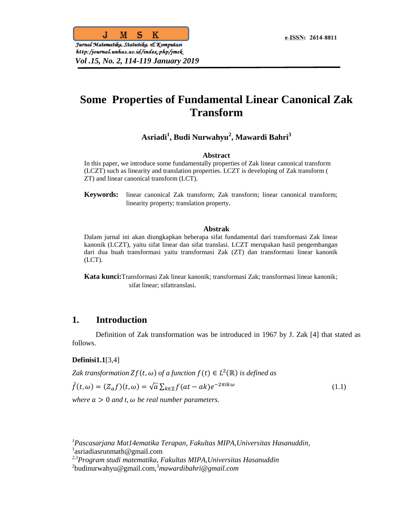

http:/journal.unhas.ac.id/index.php/jmsk *Vol .15, No. 2, 114-119 January 2019*

# **Some Properties of Fundamental Linear Canonical Zak Transform**

# **Asriadi<sup>1</sup> , Budi Nurwahyu<sup>2</sup> , Mawardi Bahri<sup>3</sup>**

#### **Abstract**

In this paper, we introduce some fundamentally properties of Zak linear canonical transform (LCZT) such as linearity and translation properties. LCZT is developing of Zak transform ( ZT) and linear canonical transform (LCT).

**Keywords:** linear canonical Zak transform; Zak transform; linear canonical transform; linearity property; translation property.

#### **Abstrak**

Dalam jurnal ini akan diungkapkan beberapa sifat fundamental dari transformasi Zak linear kanonik (LCZT), yaitu sifat linear dan sifat translasi. LCZT merupakan hasil pengembangan dari dua buah transformasi yaitu transformasi Zak (ZT) dan transformasi linear kanonik (LCT).

**Kata kunci:**Transformasi Zak linear kanonik; transformasi Zak; transformasi linear kanonik; sifat linear; sifattranslasi*.*

# **1. Introduction**

Definition of Zak transformation was be introduced in 1967 by J. Zak [4] that stated as follows.

### **Definisi1.1**[3,4]

Zak transformation  $Zf(t, \omega)$  of a function  $f(t) \in L^2(\mathbb{R})$  is defined as

$$
\tilde{f}(t,\omega) = (Z_a f)(t,\omega) = \sqrt{a} \sum_{k \in \mathbb{Z}} f(at - ak)e^{-2\pi ik\omega}
$$
\n(1.1)

*where*  $a > 0$  *and t*,  $\omega$  *be real number parameters.* 

*<sup>1</sup>Pascasarjana Mat14ematika Terapan, Fakultas MIPA,Universitas Hasanuddin,*  <sup>1</sup>asriadiasrunmath@gmail.com

*<sup>2,3</sup>Program studi matematika, Fakultas MIPA,Universitas Hasanuddin*

<sup>2</sup> budinurwahyu@gmail.com, *<sup>3</sup>mawardibahri@gmail.com*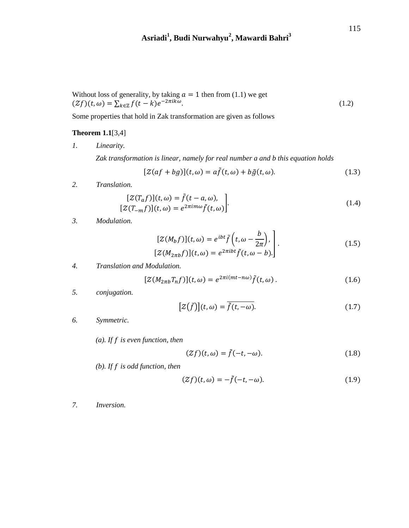# **Asriadi<sup>1</sup> , Budi Nurwahyu<sup>2</sup> , Mawardi Bahri<sup>3</sup>**

Without loss of generality, by taking 
$$
a = 1
$$
 then from (1.1) we get  

$$
(Zf)(t, \omega) = \sum_{k \in \mathbb{Z}} f(t - k)e^{-2\pi ik\omega}.
$$
 (1.2)

Some properties that hold in Zak transformation are given as follows

# **Theorem 1.1**[3,4]

*1. Linearity.*

*Zak transformation is linear, namely for real number a and b this equation holds*

$$
[Z(af + bg)](t, \omega) = a\tilde{f}(t, \omega) + b\tilde{g}(t, \omega).
$$
 (1.3)

*2. Translation.*

$$
[Z(T_a f)](t, \omega) = \tilde{f}(t - a, \omega),
$$
  

$$
[Z(T_{-m}f)](t, \omega) = e^{2\pi i m \omega} \tilde{f}(t, \omega).
$$
 (1.4)

*3. Modulation.*

$$
[Z(M_b f)](t, \omega) = e^{ibt} \tilde{f}\left(t, \omega - \frac{b}{2\pi}\right),
$$
  

$$
[Z(M_{2\pi b}f)](t, \omega) = e^{2\pi i bt} \tilde{f}(t, \omega - b).
$$
 (1.5)

*4. Translation and Modulation.*

$$
[\mathcal{Z}(M_{2\pi b}T_n f)](t,\omega) = e^{2\pi i (mt - n\omega)}\tilde{f}(t,\omega).
$$
 (1.6)

*5. conjugation.*

$$
[Z(\bar{f})](t,\omega) = \overline{\tilde{f}(t,-\omega)}.
$$
\n(1.7)

*6. Symmetric.*

*(a). If is even function, then*

$$
(\mathcal{Z}f)(t,\omega) = \tilde{f}(-t,-\omega). \tag{1.8}
$$

*(b). If is odd function, then*

$$
(\mathcal{Z}f)(t,\omega) = -\tilde{f}(-t,-\omega). \tag{1.9}
$$

*7. Inversion.*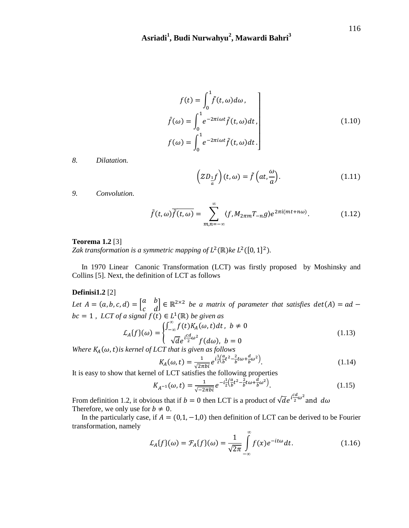$$
f(t) = \int_0^1 \tilde{f}(t, \omega) d\omega,
$$
  

$$
\hat{f}(\omega) = \int_0^1 e^{-2\pi i \omega t} \tilde{f}(t, \omega) dt,
$$
  

$$
f(\omega) = \int_0^1 e^{-2\pi i \omega t} \tilde{f}(t, \omega) dt.
$$
 (1.10)

*8. Dilatation.*

$$
\left(ZD_{\frac{1}{a}}f\right)(t,\omega) = \tilde{f}\left(at,\frac{\omega}{a}\right).
$$
 (1.11)

*9. Convolution.*

$$
\tilde{f}(t,\omega)\overline{\tilde{f}(t,\omega)} = \sum_{m,n=-\infty}^{\infty} \langle f, M_{2\pi m}T_{-n}g \rangle e^{2\pi i (mt+n\omega)}.
$$
 (1.12)

### **Teorema 1.2** [3]

Zak transformation is a symmetric mapping of  $L^2(\mathbb{R})$ ke  $L^2([0, 1]^2)$ .

In 1970 Linear Canonic Transformation (LCT) was firstly proposed by Moshinsky and Collins [5]. Next, the definition of LCT as follows

#### **Definisi1.2** [2]

*Let*  $A = (a, b, c, d) = \begin{bmatrix} a & b \\ c & d \end{bmatrix}$  $\begin{bmatrix} a & b \\ c & d \end{bmatrix} \in \mathbb{R}^{2 \times 2}$  be a matrix of parameter that satisfies  $det(A) =$  $bc = 1$ , *LCT* of a signal  $f(t) \in L^1(\mathbb{R})$  be given as

$$
\mathcal{L}_A\{f\}(\omega) = \begin{cases}\n\int_{-\infty}^{\infty} f(t)K_A(\omega, t)dt, & b \neq 0 \\
\sqrt{d}e^{i\frac{cd}{2}\omega^2} f(d\omega), & b = 0\n\end{cases}
$$
\n(1.13)

*Where*  $K_A(\omega, t)$  *is kernel of LCT that is given as follows* 

$$
K_A(\omega, t) = \frac{1}{\sqrt{2\pi b}i} e^{i\frac{1}{2} \left(\frac{a}{b}t^2 - \frac{2}{b}t\omega + \frac{d}{b}\omega^2\right)}.
$$
\n(1.14)

It is easy to show that kernel of LCT satisfies the following properties

$$
K_{A^{-1}}(\omega, t) = \frac{1}{\sqrt{-2\pi b i}} e^{-i\frac{1}{2} \left(\frac{a}{b}t^2 - \frac{2}{b}t\omega + \frac{d}{b}\omega^2\right)}.
$$
\n(1.15)

From definition 1.2, it obvious that if  $b=0$  then LCT is a product of  $\sqrt{d}e^{i\frac{t^2}{2}}$  $\frac{\pi}{2}\omega^2$ a Therefore, we only use for  $b \neq 0$ .

In the particularly case, if  $A = (0,1,-1,0)$  then definition of LCT can be derived to be Fourier transformation, namely

$$
\mathcal{L}_A\{f\}(\omega) = \mathcal{F}_A\{f\}(\omega) = \frac{1}{\sqrt{2\pi}} \int_{-\infty}^{\infty} f(x)e^{-it\omega}dt.
$$
 (1.16)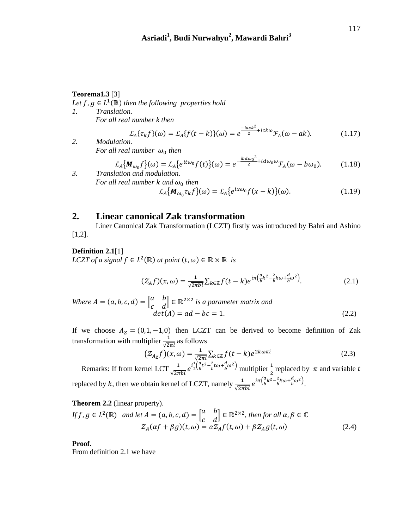#### **Teorema1.3** [3]

Let  $f, g \in L^1(\mathbb{R})$  then the following properties hold

*1. Translation. For all real number k then* 

$$
\mathcal{L}_A\{\tau_k f\}(\omega) = \mathcal{L}_A\{f(t-k)\}(\omega) = e^{\frac{-iack^2}{2} + ick\omega} \mathcal{F}_A(\omega - ak). \tag{1.17}
$$

*2. Modulation. For all real number*  $\omega_0$  *then* 

$$
\mathcal{L}_A\{M_{\omega_0}f\}(\omega) = \mathcal{L}_A\{e^{it\omega_0}f(t)\}(\omega) = e^{-\frac{ibd\omega_0^2}{2} + id\omega_0\omega}\mathcal{F}_A(\omega - b\omega_0).
$$
 (1.18)  
3. Translation and modulation.

*For all real number k and*  $\omega_0$  *then*  $\mathcal{L}_A\{M_{\omega_0}\tau_k f\}(\omega) = \mathcal{L}_A\{e^{ix\omega_0}f(x-k)\}(\omega).$  (1.19)

## **2. Linear canonical Zak transformation**

Liner Canonical Zak Transformation (LCZT) firstly was introduced by Bahri and Ashino [1,2].

#### **Definition 2.1**[1]

*LCZT* of a signal  $f \in L^2(\mathbb{R})$  at point  $(t, \omega) \in \mathbb{R} \times \mathbb{R}$  is

$$
\left(\mathcal{Z}_{A}f\right)(x,\omega) = \frac{1}{\sqrt{2\pi bi}}\sum_{k\in\mathbb{Z}}f(t-k)e^{i\pi\left(\frac{a}{b}k^{2}-\frac{2}{b}k\omega+\frac{d}{b}\omega^{2}\right)}.
$$
\n(2.1)

*Where*  $A = (a, b, c, d) = \begin{bmatrix} a & b \\ c & d \end{bmatrix}$  $\begin{bmatrix} a & b \\ c & d \end{bmatrix} \in \mathbb{R}^{2 \times 2}$  is a parameter matrix and  $det(A) = ad - bc = 1.$  (2.2)

If we choose  $A<sub>Z</sub> = (0,1,-1,0)$  then LCZT can be derived to become definition of Zak transformation with multiplier  $\frac{1}{\sqrt{2\pi i}}$  as follows

$$
\left(Z_{A_Z}f\right)(x,\omega) = \frac{1}{\sqrt{2\pi i}} \sum_{k \in \mathbb{Z}} f(t-k) e^{2k\omega\pi i}
$$
\n(2.3)

Remarks: If from kernel LCT  $\frac{1}{\sqrt{2\pi}}$  $i^1$  $rac{1}{2}(\frac{a}{b})$  $\frac{a}{b}t^2-\frac{2}{b}$  $\frac{2}{b}t\omega+\frac{d}{b}$  $(\frac{\pi}{b}\omega^2)$  multiplier  $\frac{1}{2}$  replaced by  $\pi$  and variable replaced by  $k$ , then we obtain kernel of LCZT, namely  $\frac{1}{\sqrt{2}}$  $i\pi(\frac{a}{b})$  $rac{a}{b}k^2-\frac{2}{b}$  $\frac{2}{b}k\omega+\frac{d}{b}$  $\frac{a}{b}\omega^2$ ).

#### **Theorem 2.2** (linear property).

$$
If f, g \in L^{2}(\mathbb{R}) \text{ and let } A = (a, b, c, d) = \begin{bmatrix} a & b \\ c & d \end{bmatrix} \in \mathbb{R}^{2 \times 2}, then for all \alpha, \beta \in \mathbb{C}
$$

$$
Z_{A}(\alpha f + \beta g)(t, \omega) = \alpha Z_{A}f(t, \omega) + \beta Z_{A}g(t, \omega) \tag{2.4}
$$

**Proof.**

From definition 2.1 we have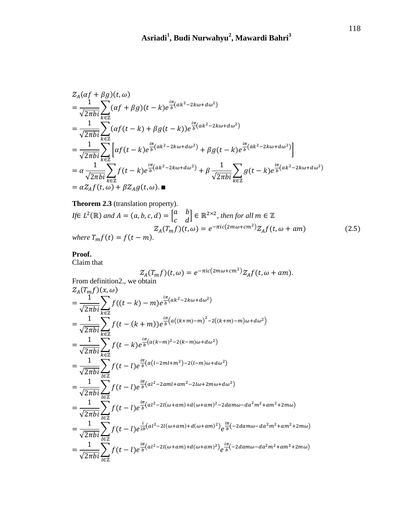$$
\begin{split}\n\mathcal{Z}_{A}(\alpha f + \beta g)(t, \omega) \\
&= \frac{1}{\sqrt{2\pi bi}} \sum_{k \in \mathbb{Z}} (\alpha f + \beta g)(t - k) e^{\frac{i\pi}{b} (ak^2 - 2k\omega + d\omega^2)} \\
&= \frac{1}{\sqrt{2\pi bi}} \sum_{k \in \mathbb{Z}} (\alpha f(t - k) + \beta g(t - k)) e^{\frac{i\pi}{b} (ak^2 - 2k\omega + d\omega^2)} \\
&= \frac{1}{\sqrt{2\pi bi}} \sum_{k \in \mathbb{Z}} \left[ \alpha f(t - k) e^{\frac{i\pi}{b} (ak^2 - 2k\omega + d\omega^2)} + \beta g(t - k) e^{\frac{i\pi}{b} (ak^2 - 2k\omega + d\omega^2)} \right] \\
&= \alpha \frac{1}{\sqrt{2\pi bi}} \sum_{k \in \mathbb{Z}} f(t - k) e^{\frac{i\pi}{b} (ak^2 - 2k\omega + d\omega^2)} + \beta \frac{1}{\sqrt{2\pi bi}} \sum_{k \in \mathbb{Z}} g(t - k) e^{\frac{i\pi}{b} (ak^2 - 2k\omega + d\omega^2)} \\
&= \alpha Z_A f(t, \omega) + \beta Z_A g(t, \omega). \blacksquare\n\end{split}
$$

**Theorem 2.3** (translation property).  
\nIf 
$$
L^2(\mathbb{R})
$$
 and  $A = (a, b, c, d) = \begin{bmatrix} a & b \ c & d \end{bmatrix} \in \mathbb{R}^{2 \times 2}$ , then for all  $m \in \mathbb{Z}$   
\n
$$
Z_A(T_m f)(t, \omega) = e^{-\pi i c (2m\omega + cm^2)} Z_A f(t, \omega + am)
$$
\n(2.5)  
\nwhere  $T_m f(t) = f(t - m)$ .

#### **Proof.**

Claim that

$$
Z_A(T_m f)(t, \omega) = e^{-\pi i c (2m\omega + cm^2)} Z_A f(t, \omega + am).
$$
  
From definition2., we obtain  

$$
Z_A(T_m f)(x, \omega)
$$

$$
= \frac{1}{\sqrt{2\pi bi}} \sum_{k \in \mathbb{Z}} f((t - k) - m) e^{\frac{i\pi}{b} (ak^2 - 2k\omega + d\omega^2)}
$$

$$
= \frac{1}{\sqrt{2\pi bi}} \sum_{k \in \mathbb{Z}} f(t - (k + m)) e^{\frac{i\pi}{b} (a((k+m) - m)^2 - 2((k+m) - m)\omega + d\omega^2)}
$$

$$
= \frac{1}{\sqrt{2\pi bi}} \sum_{k \in \mathbb{Z}} f(t - k) e^{\frac{i\pi}{b} (a(k-m)^2 - 2(k-m)\omega + d\omega^2)}
$$

$$
= \frac{1}{\sqrt{2\pi bi}} \sum_{l \in \mathbb{Z}} f(t - l) e^{\frac{i\pi}{b} (a(t-2m+ m^2) - 2(l-m)\omega + d\omega^2)}
$$

$$
= \frac{1}{\sqrt{2\pi bi}} \sum_{l \in \mathbb{Z}} f(t - l) e^{\frac{i\pi}{b} (al^2 - 2aml + am^2 - 2l\omega + 2m\omega + d\omega^2)}
$$

$$
= \frac{1}{\sqrt{2\pi bi}} \sum_{l \in \mathbb{Z}} f(t - l) e^{\frac{i\pi}{b} (al^2 - 2l(\omega + am) + d(\omega + am)^2 - 2dam\omega - da^2m^2 + am^2 + 2m\omega)}
$$

$$
= \frac{1}{\sqrt{2\pi bi}} \sum_{l \in \mathbb{Z}} f(t - l) e^{\frac{i\pi}{2b} (al^2 - 2l(\omega + am) + d(\omega + am)^2)} e^{\frac{i\pi}{b} (-2dam\omega - da^2m^2 + am^2 + 2m\omega)}
$$

$$
= \frac{1}{\sqrt{2\pi bi}} \sum_{l \in \mathbb{Z}} f(t - l) e^{\frac{i\pi}{b} (al^2 - 2l(\omega + am) + d(\omega + am)^2)} e^{\frac{i\pi}{b} (-2dam\omega - da^2m^2 + am^2 + 2m\omega)}
$$